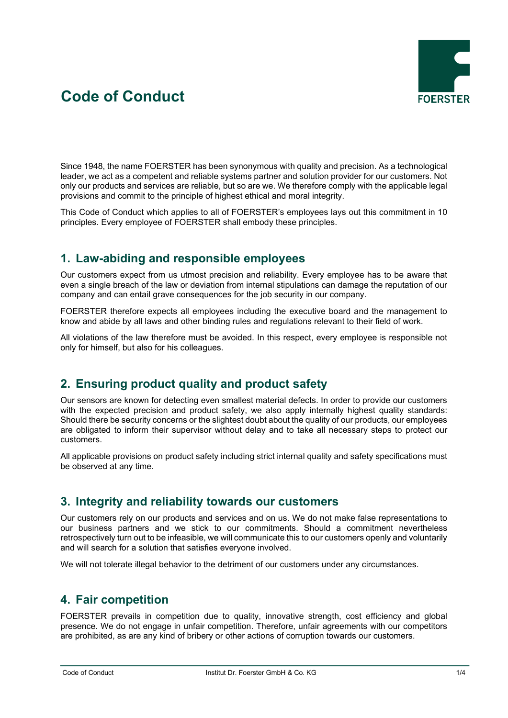# **Code of Conduct**



Since 1948, the name FOERSTER has been synonymous with quality and precision. As a technological leader, we act as a competent and reliable systems partner and solution provider for our customers. Not only our products and services are reliable, but so are we. We therefore comply with the applicable legal provisions and commit to the principle of highest ethical and moral integrity.

This Code of Conduct which applies to all of FOERSTER's employees lays out this commitment in 10 principles. Every employee of FOERSTER shall embody these principles.

### **1. Law-abiding and responsible employees**

Our customers expect from us utmost precision and reliability. Every employee has to be aware that even a single breach of the law or deviation from internal stipulations can damage the reputation of our company and can entail grave consequences for the job security in our company.

FOERSTER therefore expects all employees including the executive board and the management to know and abide by all laws and other binding rules and regulations relevant to their field of work.

All violations of the law therefore must be avoided. In this respect, every employee is responsible not only for himself, but also for his colleagues.

## **2. Ensuring product quality and product safety**

Our sensors are known for detecting even smallest material defects. In order to provide our customers with the expected precision and product safety, we also apply internally highest quality standards: Should there be security concerns or the slightest doubt about the quality of our products, our employees are obligated to inform their supervisor without delay and to take all necessary steps to protect our customers.

All applicable provisions on product safety including strict internal quality and safety specifications must be observed at any time.

#### **3. Integrity and reliability towards our customers**

Our customers rely on our products and services and on us. We do not make false representations to our business partners and we stick to our commitments. Should a commitment nevertheless retrospectively turn out to be infeasible, we will communicate this to our customers openly and voluntarily and will search for a solution that satisfies everyone involved.

We will not tolerate illegal behavior to the detriment of our customers under any circumstances.

#### **4. Fair competition**

FOERSTER prevails in competition due to quality, innovative strength, cost efficiency and global presence. We do not engage in unfair competition. Therefore, unfair agreements with our competitors are prohibited, as are any kind of bribery or other actions of corruption towards our customers.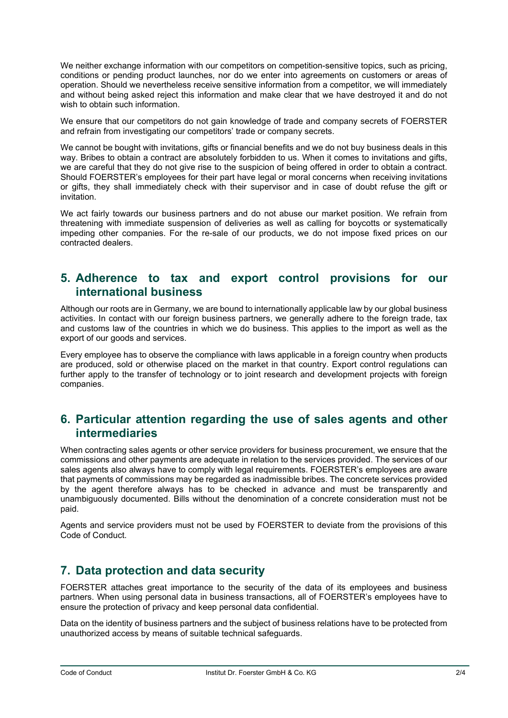We neither exchange information with our competitors on competition-sensitive topics, such as pricing, conditions or pending product launches, nor do we enter into agreements on customers or areas of operation. Should we nevertheless receive sensitive information from a competitor, we will immediately and without being asked reject this information and make clear that we have destroyed it and do not wish to obtain such information.

We ensure that our competitors do not gain knowledge of trade and company secrets of FOERSTER and refrain from investigating our competitors' trade or company secrets.

We cannot be bought with invitations, gifts or financial benefits and we do not buy business deals in this way. Bribes to obtain a contract are absolutely forbidden to us. When it comes to invitations and gifts, we are careful that they do not give rise to the suspicion of being offered in order to obtain a contract. Should FOERSTER's employees for their part have legal or moral concerns when receiving invitations or gifts, they shall immediately check with their supervisor and in case of doubt refuse the gift or invitation.

We act fairly towards our business partners and do not abuse our market position. We refrain from threatening with immediate suspension of deliveries as well as calling for boycotts or systematically impeding other companies. For the re-sale of our products, we do not impose fixed prices on our contracted dealers.

#### **5. Adherence to tax and export control provisions for our international business**

Although our roots are in Germany, we are bound to internationally applicable law by our global business activities. In contact with our foreign business partners, we generally adhere to the foreign trade, tax and customs law of the countries in which we do business. This applies to the import as well as the export of our goods and services.

Every employee has to observe the compliance with laws applicable in a foreign country when products are produced, sold or otherwise placed on the market in that country. Export control regulations can further apply to the transfer of technology or to joint research and development projects with foreign companies.

#### **6. Particular attention regarding the use of sales agents and other intermediaries**

When contracting sales agents or other service providers for business procurement, we ensure that the commissions and other payments are adequate in relation to the services provided. The services of our sales agents also always have to comply with legal requirements. FOERSTER's employees are aware that payments of commissions may be regarded as inadmissible bribes. The concrete services provided by the agent therefore always has to be checked in advance and must be transparently and unambiguously documented. Bills without the denomination of a concrete consideration must not be paid.

Agents and service providers must not be used by FOERSTER to deviate from the provisions of this Code of Conduct.

#### **7. Data protection and data security**

FOERSTER attaches great importance to the security of the data of its employees and business partners. When using personal data in business transactions, all of FOERSTER's employees have to ensure the protection of privacy and keep personal data confidential.

Data on the identity of business partners and the subject of business relations have to be protected from unauthorized access by means of suitable technical safeguards.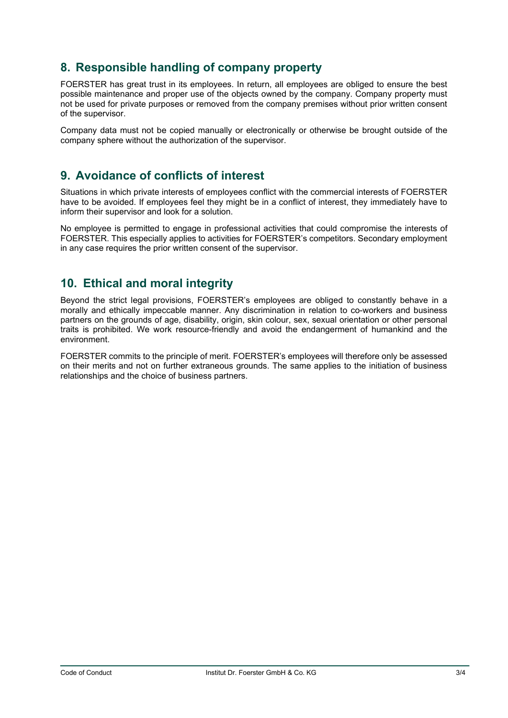## **8. Responsible handling of company property**

FOERSTER has great trust in its employees. In return, all employees are obliged to ensure the best possible maintenance and proper use of the objects owned by the company. Company property must not be used for private purposes or removed from the company premises without prior written consent of the supervisor.

Company data must not be copied manually or electronically or otherwise be brought outside of the company sphere without the authorization of the supervisor.

#### **9. Avoidance of conflicts of interest**

Situations in which private interests of employees conflict with the commercial interests of FOERSTER have to be avoided. If employees feel they might be in a conflict of interest, they immediately have to inform their supervisor and look for a solution.

No employee is permitted to engage in professional activities that could compromise the interests of FOERSTER. This especially applies to activities for FOERSTER's competitors. Secondary employment in any case requires the prior written consent of the supervisor.

## **10. Ethical and moral integrity**

Beyond the strict legal provisions, FOERSTER's employees are obliged to constantly behave in a morally and ethically impeccable manner. Any discrimination in relation to co-workers and business partners on the grounds of age, disability, origin, skin colour, sex, sexual orientation or other personal traits is prohibited. We work resource-friendly and avoid the endangerment of humankind and the environment.

FOERSTER commits to the principle of merit. FOERSTER's employees will therefore only be assessed on their merits and not on further extraneous grounds. The same applies to the initiation of business relationships and the choice of business partners.